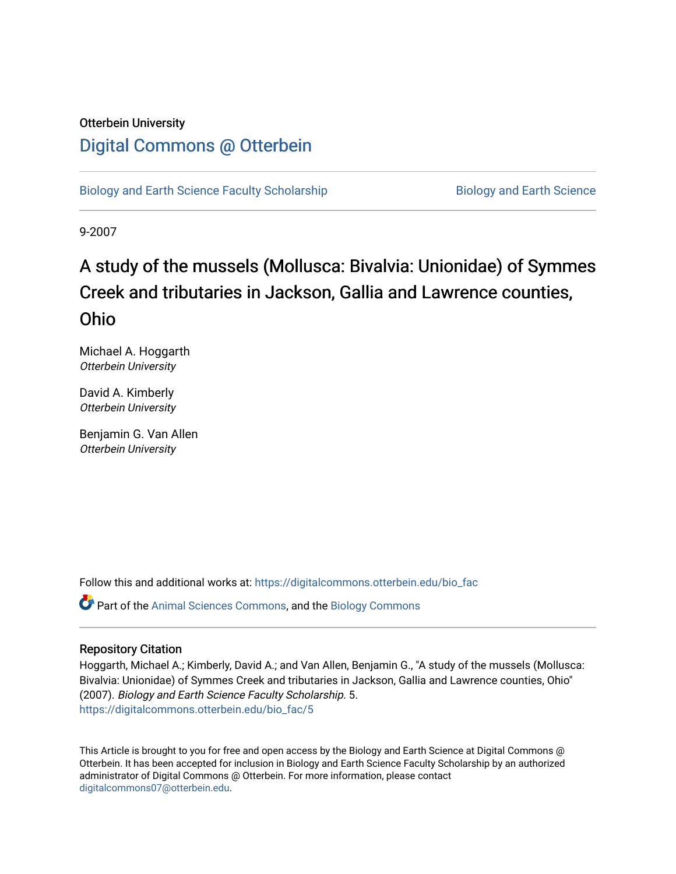## Otterbein University [Digital Commons @ Otterbein](https://digitalcommons.otterbein.edu/)

[Biology and Earth Science Faculty Scholarship](https://digitalcommons.otterbein.edu/bio_fac) **Biology and Earth Science** 

9-2007

# A study of the mussels (Mollusca: Bivalvia: Unionidae) of Symmes Creek and tributaries in Jackson, Gallia and Lawrence counties, Ohio

Michael A. Hoggarth Otterbein University

David A. Kimberly Otterbein University

Benjamin G. Van Allen Otterbein University

Follow this and additional works at: [https://digitalcommons.otterbein.edu/bio\\_fac](https://digitalcommons.otterbein.edu/bio_fac?utm_source=digitalcommons.otterbein.edu%2Fbio_fac%2F5&utm_medium=PDF&utm_campaign=PDFCoverPages)

Part of the [Animal Sciences Commons,](http://network.bepress.com/hgg/discipline/76?utm_source=digitalcommons.otterbein.edu%2Fbio_fac%2F5&utm_medium=PDF&utm_campaign=PDFCoverPages) and the [Biology Commons](http://network.bepress.com/hgg/discipline/41?utm_source=digitalcommons.otterbein.edu%2Fbio_fac%2F5&utm_medium=PDF&utm_campaign=PDFCoverPages) 

#### Repository Citation

Hoggarth, Michael A.; Kimberly, David A.; and Van Allen, Benjamin G., "A study of the mussels (Mollusca: Bivalvia: Unionidae) of Symmes Creek and tributaries in Jackson, Gallia and Lawrence counties, Ohio" (2007). Biology and Earth Science Faculty Scholarship. 5. [https://digitalcommons.otterbein.edu/bio\\_fac/5](https://digitalcommons.otterbein.edu/bio_fac/5?utm_source=digitalcommons.otterbein.edu%2Fbio_fac%2F5&utm_medium=PDF&utm_campaign=PDFCoverPages)

This Article is brought to you for free and open access by the Biology and Earth Science at Digital Commons @ Otterbein. It has been accepted for inclusion in Biology and Earth Science Faculty Scholarship by an authorized administrator of Digital Commons @ Otterbein. For more information, please contact [digitalcommons07@otterbein.edu](mailto:digitalcommons07@otterbein.edu).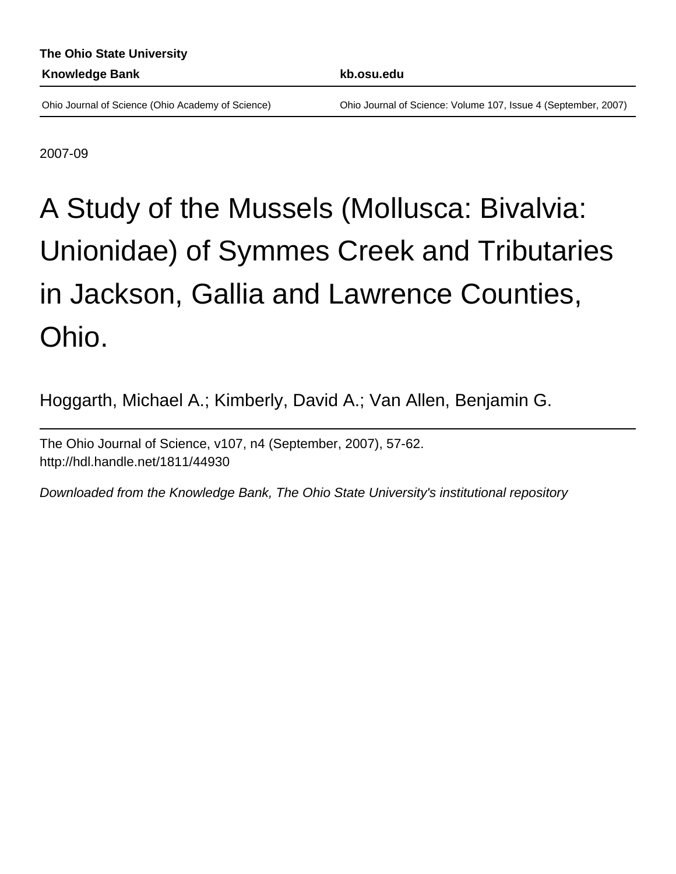Ohio Journal of Science (Ohio Academy of Science) Ohio Journal of Science: Volume 107, Issue 4 (September, 2007)

2007-09

# A Study of the Mussels (Mollusca: Bivalvia: Unionidae) of Symmes Creek and Tributaries in Jackson, Gallia and Lawrence Counties, Ohio.

Hoggarth, Michael A.; Kimberly, David A.; Van Allen, Benjamin G.

The Ohio Journal of Science, v107, n4 (September, 2007), 57-62. <http://hdl.handle.net/1811/44930>

Downloaded from the Knowledge Bank, The Ohio State University's institutional repository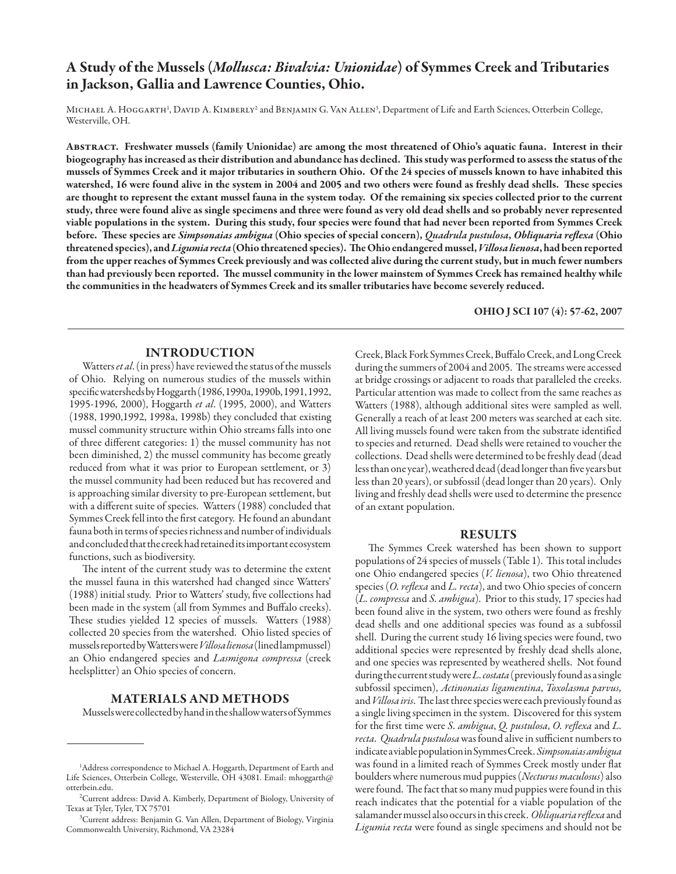### A Study of the Mussels (*Mollusca: Bivalvia: Unionidae*) of Symmes Creek and Tributaries in Jackson, Gallia and Lawrence Counties, Ohio.

MICHAEL A. HOGGARTH<sup>1</sup>, DAVID A. KIMBERLY<sup>2</sup> and BENJAMIN G. VAN ALLEN<sup>3</sup>, Department of Life and Earth Sciences, Otterbein College, Westerville, OH.

Abstract. Freshwater mussels (family Unionidae) are among the most threatened of Ohio's aquatic fauna. Interest in their biogeography has increased as their distribution and abundance has declined. This study was performed to assess the status of the mussels of Symmes Creek and it major tributaries in southern Ohio. Of the 24 species of mussels known to have inhabited this watershed, 16 were found alive in the system in 2004 and 2005 and two others were found as freshly dead shells. These species are thought to represent the extant mussel fauna in the system today. Of the remaining six species collected prior to the current study, three were found alive as single specimens and three were found as very old dead shells and so probably never represented viable populations in the system. During this study, four species were found that had never been reported from Symmes Creek before. These species are *Simpsonaias ambigua* (Ohio species of special concern), *Quadrula pustulosa*, *Obliquaria reflexa* (Ohio threatened species), and *Ligumia recta* (Ohio threatened species). The Ohio endangered mussel, *Villosa lienosa*, had been reported from the upper reaches of Symmes Creek previously and was collected alive during the current study, but in much fewer numbers than had previously been reported. The mussel community in the lower mainstem of Symmes Creek has remained healthy while the communities in the headwaters of Symmes Creek and its smaller tributaries have become severely reduced.

OHIO J SCI 107 (4): 57-62, 2007

#### INTRODUCTION

Watters *et al*. (in press) have reviewed the status of the mussels of Ohio. Relying on numerous studies of the mussels within specific watersheds by Hoggarth (1986, 1990a, 1990b, 1991, 1992, 1995-1996, 2000), Hoggarth *et al*. (1995, 2000), and Watters (1988, 1990,1992, 1998a, 1998b) they concluded that existing mussel community structure within Ohio streams falls into one of three different categories: 1) the mussel community has not been diminished, 2) the mussel community has become greatly reduced from what it was prior to European settlement, or 3) the mussel community had been reduced but has recovered and is approaching similar diversity to pre-European settlement, but with a different suite of species. Watters (1988) concluded that Symmes Creek fell into the first category. He found an abundant fauna both in terms of species richness and number of individuals and concluded that the creek had retained its important ecosystem functions, such as biodiversity.

The intent of the current study was to determine the extent the mussel fauna in this watershed had changed since Watters' (1988) initial study. Prior to Watters' study, five collections had been made in the system (all from Symmes and Buffalo creeks). These studies yielded 12 species of mussels. Watters (1988) collected 20 species from the watershed. Ohio listed species of mussels reported by Watters were *Villosa lienosa* (lined lampmussel) an Ohio endangered species and *Lasmigona compressa* (creek heelsplitter) an Ohio species of concern.

#### MATERIALS AND METHODS

Mussels were collected by hand in the shallow waters of Symmes

Creek, Black Fork Symmes Creek, Buffalo Creek, and Long Creek during the summers of 2004 and 2005. The streams were accessed at bridge crossings or adjacent to roads that paralleled the creeks. Particular attention was made to collect from the same reaches as Watters (1988), although additional sites were sampled as well. Generally a reach of at least 200 meters was searched at each site. All living mussels found were taken from the substrate identified to species and returned. Dead shells were retained to voucher the collections. Dead shells were determined to be freshly dead (dead less than one year), weathered dead (dead longer than five years but less than 20 years), or subfossil (dead longer than 20 years). Only living and freshly dead shells were used to determine the presence of an extant population.

#### RESULTS

The Symmes Creek watershed has been shown to support populations of 24 species of mussels (Table 1). This total includes one Ohio endangered species (*V. lienosa*), two Ohio threatened species (O. reflexa and L. recta), and two Ohio species of concern (*L. compressa* and *S. ambigua*). Prior to this study, 17 species had been found alive in the system, two others were found as freshly dead shells and one additional species was found as a subfossil shell. During the current study 16 living species were found, two additional species were represented by freshly dead shells alone, and one species was represented by weathered shells. Not found during the current study were *L. costata* (previously found as a single subfossil specimen), *Actinonaias ligamentina*, *Toxolasma parvus,* and Villosa iris. The last three species were each previously found as a single living specimen in the system. Discovered for this system for the first time were *S. ambigua*, *Q. pustulosa*, *O. reflexa* and *L*. *recta. Quadrula pustulosa* was found alive in sufficient numbers to indicate a viable population in Symmes Creek. *Simpsonaias ambigua* was found in a limited reach of Symmes Creek mostly under flat boulders where numerous mud puppies (*Necturus maculosus*) also were found. The fact that so many mud puppies were found in this reach indicates that the potential for a viable population of the salamander mussel also occurs in this creek. *Obliquaria reflexa* and *Ligumia recta* were found as single specimens and should not be

<sup>1</sup> Address correspondence to Michael A. Hoggarth, Department of Earth and Life Sciences, Otterbein College, Westerville, OH 43081. Email: mhoggarth@ otterbein.edu.

<sup>&</sup>lt;sup>2</sup>Current address: David A. Kimberly, Department of Biology, University of Texas at Tyler, Tyler, TX 75701

<sup>&</sup>lt;sup>3</sup>Current address: Benjamin G. Van Allen, Department of Biology, Virginia Commonwealth University, Richmond, VA 23284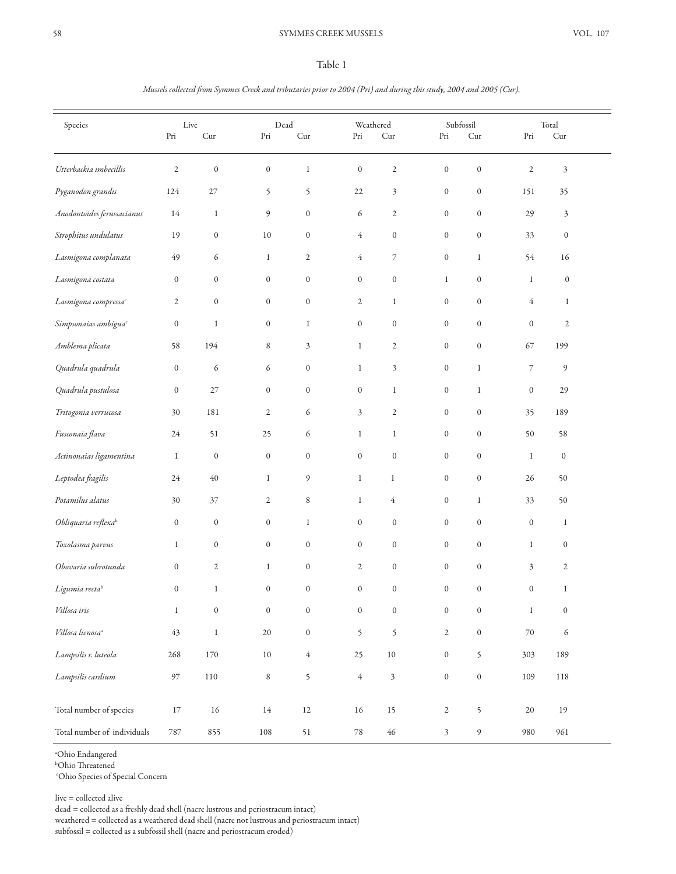#### Table 1

#### *Mussels collected from Symmes Creek and tributaries prior to 2004 (Pri) and during this study, 2004 and 2005 (Cur).*

| Species                          | Pri              | Live<br>Cur      | Dead<br>Pri      | Cur              | Weathered<br>Pri | Cur                     | Subfossil<br>Pri | Cur              |                  | Total<br>$\ensuremath{\mathrm{Cur}}$<br>$\Pr$ |  |  |
|----------------------------------|------------------|------------------|------------------|------------------|------------------|-------------------------|------------------|------------------|------------------|-----------------------------------------------|--|--|
|                                  |                  |                  |                  |                  |                  |                         |                  |                  |                  |                                               |  |  |
| Utterbackia imbecillis           | $\sqrt{2}$       | $\boldsymbol{0}$ | $\boldsymbol{0}$ | $\mathbf{1}$     | $\mathbf{0}$     | $\sqrt{2}$              | $\boldsymbol{0}$ | $\boldsymbol{0}$ | $\mathbf{2}$     | $\mathfrak{Z}$                                |  |  |
| Pyganodon grandis                | 124              | $27\,$           | 5                | 5                | 22               | $\mathfrak{Z}$          | $\boldsymbol{0}$ | $\boldsymbol{0}$ | 151              | 35                                            |  |  |
| Anodontoides ferussacianus       | 14               | $\mathbf{1}$     | 9                | $\boldsymbol{0}$ | 6                | $\mathbf{2}$            | $\boldsymbol{0}$ | $\boldsymbol{0}$ | 29               | $\mathfrak{Z}$                                |  |  |
| Strophitus undulatus             | 19               | $\boldsymbol{0}$ | 10               | $\boldsymbol{0}$ | $\overline{4}$   | $\mathbf{0}$            | $\boldsymbol{0}$ | $\boldsymbol{0}$ | 33               | $\boldsymbol{0}$                              |  |  |
| Lasmigona complanata             | 49               | 6                | $\mathbf{1}$     | $\mathbf{2}$     | $\overline{4}$   | $\boldsymbol{7}$        | $\boldsymbol{0}$ | $\mathbf{1}$     | 54               | $16$                                          |  |  |
| Lasmigona costata                | $\boldsymbol{0}$ | $\boldsymbol{0}$ | $\boldsymbol{0}$ | $\boldsymbol{0}$ | $\boldsymbol{0}$ | $\boldsymbol{0}$        | $\mathbf{1}$     | $\boldsymbol{0}$ | $\mathbf{1}$     | $\boldsymbol{0}$                              |  |  |
| Lasmigona compressa <sup>c</sup> | $\sqrt{2}$       | $\boldsymbol{0}$ | $\boldsymbol{0}$ | $\boldsymbol{0}$ | $\mathbf{2}$     | $\mathbf{1}$            | $\boldsymbol{0}$ | $\boldsymbol{0}$ | $\overline{4}$   | $\mathbf{1}$                                  |  |  |
| Simpsonaias ambigua <sup>c</sup> | $\boldsymbol{0}$ | $\mathbf{1}$     | $\boldsymbol{0}$ | $\mathbf{1}$     | $\boldsymbol{0}$ | $\boldsymbol{0}$        | $\boldsymbol{0}$ | $\boldsymbol{0}$ | $\boldsymbol{0}$ | $\sqrt{2}$                                    |  |  |
| Amblema plicata                  | 58               | 194              | 8                | 3                | $\mathbf{1}$     | $\sqrt{2}$              | $\boldsymbol{0}$ | $\boldsymbol{0}$ | 67               | 199                                           |  |  |
| Quadrula quadrula                | $\boldsymbol{0}$ | 6                | 6                | $\boldsymbol{0}$ | $\mathbf{1}$     | $\mathfrak{Z}$          | $\boldsymbol{0}$ | $\mathbf{1}$     | 7                | $\mathfrak{g}$                                |  |  |
| Quadrula pustulosa               | $\boldsymbol{0}$ | $27\,$           | $\boldsymbol{0}$ | $\boldsymbol{0}$ | $\boldsymbol{0}$ | $\,1$                   | $\boldsymbol{0}$ | $\mathbf{1}$     | $\boldsymbol{0}$ | 29                                            |  |  |
| Tritogonia verrucosa             | $30\,$           | 181              | $\mathbf{2}$     | 6                | $\mathfrak{Z}$   | $\sqrt{2}$              | $\boldsymbol{0}$ | $\boldsymbol{0}$ | 35               | 189                                           |  |  |
| Fusconaia flava                  | 24               | 51               | 25               | 6                | $\mathbf{1}$     | $\mathbf{1}$            | $\boldsymbol{0}$ | $\boldsymbol{0}$ | 50               | 58                                            |  |  |
| Actinonaias ligamentina          | $\mathbf{1}$     | $\boldsymbol{0}$ | $\boldsymbol{0}$ | $\boldsymbol{0}$ | $\boldsymbol{0}$ | $\boldsymbol{0}$        | $\boldsymbol{0}$ | $\boldsymbol{0}$ | $\mathbf{1}$     | $\boldsymbol{0}$                              |  |  |
| Leptodea fragilis                | 24               | $40\,$           | $\mathbf{1}$     | 9                | $\mathbf{1}$     | $\mathbf{1}$            | $\boldsymbol{0}$ | $\boldsymbol{0}$ | $26\,$           | 50                                            |  |  |
| Potamilus alatus                 | 30               | 37               | $\mathbf{2}$     | 8                | $\mathbf{1}$     | $\overline{4}$          | $\boldsymbol{0}$ | $\mathbf{1}$     | 33               | 50                                            |  |  |
| Obliquaria reflexa <sup>b</sup>  | $\boldsymbol{0}$ | $\boldsymbol{0}$ | $\boldsymbol{0}$ | $\mathbf{1}$     | $\boldsymbol{0}$ | $\boldsymbol{0}$        | $\boldsymbol{0}$ | $\boldsymbol{0}$ | $\boldsymbol{0}$ | $\mathbf{1}$                                  |  |  |
| Toxolasma parvus                 | $\mathbf{1}$     | $\boldsymbol{0}$ | $\boldsymbol{0}$ | $\boldsymbol{0}$ | $\boldsymbol{0}$ | $\boldsymbol{0}$        | $\boldsymbol{0}$ | $\boldsymbol{0}$ | $\mathbf{1}$     | $\boldsymbol{0}$                              |  |  |
| Obovaria subrotunda              | $\boldsymbol{0}$ | $\mathbf{2}$     | $\mathbf{1}$     | $\boldsymbol{0}$ | $\mathbf{2}$     | $\mathbf{0}$            | $\boldsymbol{0}$ | $\boldsymbol{0}$ | 3                | $\sqrt{2}$                                    |  |  |
| Ligumia rectab                   | $\boldsymbol{0}$ | $\,1$            | $\boldsymbol{0}$ | $\boldsymbol{0}$ | $\boldsymbol{0}$ | $\boldsymbol{0}$        | $\boldsymbol{0}$ | $\boldsymbol{0}$ | $\boldsymbol{0}$ | $\,1$                                         |  |  |
| Villosa iris                     | $\,1$            | $\boldsymbol{0}$ | $\boldsymbol{0}$ | $\boldsymbol{0}$ | $\boldsymbol{0}$ | $\boldsymbol{0}$        | $\boldsymbol{0}$ | $\boldsymbol{0}$ | $\,1$            | $\boldsymbol{0}$                              |  |  |
| Villosa lienosa <sup>a</sup>     | $43\,$           | $\,1$            | $20\,$           | $\boldsymbol{0}$ | 5                | 5                       | $\sqrt{2}$       | $\boldsymbol{0}$ | $70\,$           | $\epsilon$                                    |  |  |
| Lampsilis r. luteola             | 268              | $170\,$          | $10\,$           | $\overline{4}$   | 25               | $10\,$                  | $\boldsymbol{0}$ | 5                | 303              | 189                                           |  |  |
| Lampsilis cardium                | $97\,$           | $110\,$          | $\,$ 8 $\,$      | 5                | $\overline{4}$   | $\overline{\mathbf{3}}$ | $\boldsymbol{0}$ | $\boldsymbol{0}$ | 109              | 118                                           |  |  |
| Total number of species          | $17\,$           | $16\,$           | 14               | $12\,$           | 16               | $15\,$                  | $\mathbf 2$      | $\mathsf S$      | 20               | 19                                            |  |  |
| Total number of individuals      | $787\,$          | 855              | $108\,$          | 51               | $78\,$           | $46\,$                  | $\mathfrak{Z}$   | $\boldsymbol{9}$ | 980              | 961                                           |  |  |

a Ohio Endangered

<sup>b</sup>Ohio Threatened

cOhio Species of Special Concern

live = collected alive

dead = collected as a freshly dead shell (nacre lustrous and periostracum intact)

weathered = collected as a weathered dead shell (nacre not lustrous and periostracum intact) subfossil = collected as a subfossil shell (nacre and periostracum eroded)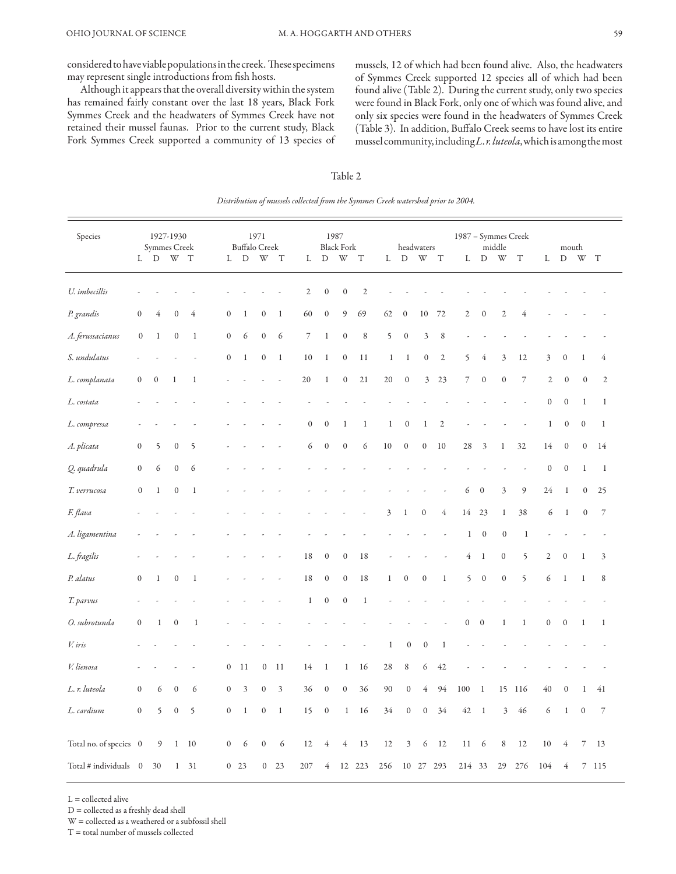considered to have viable populations in the creek. These specimens may represent single introductions from fish hosts.

Although it appears that the overall diversity within the system has remained fairly constant over the last 18 years, Black Fork Symmes Creek and the headwaters of Symmes Creek have not retained their mussel faunas. Prior to the current study, Black Fork Symmes Creek supported a community of 13 species of mussels, 12 of which had been found alive. Also, the headwaters of Symmes Creek supported 12 species all of which had been found alive (Table 2). During the current study, only two species were found in Black Fork, only one of which was found alive, and only six species were found in the headwaters of Symmes Creek (Table 3). In addition, Buffalo Creek seems to have lost its entire mussel community, including *L*. *r. luteola*, which is among the most

#### Table 2

| Distribution of mussels collected from the Symmes Creek watershed prior to 2004. |  |  |  |  |  |
|----------------------------------------------------------------------------------|--|--|--|--|--|
|----------------------------------------------------------------------------------|--|--|--|--|--|

| Species                | 1927-1930<br>Symmes Creek |                  |                  |                | 1971<br><b>Buffalo Creek</b> |             |                | 1987<br><b>Black Fork</b> |                          |                  |                  |                  |                | headwaters   |                  | 1987 - Symmes Creek<br>middle |                |                  |                  |                  | mouth                    |                  |                  |                  |                |
|------------------------|---------------------------|------------------|------------------|----------------|------------------------------|-------------|----------------|---------------------------|--------------------------|------------------|------------------|------------------|----------------|--------------|------------------|-------------------------------|----------------|------------------|------------------|------------------|--------------------------|------------------|------------------|------------------|----------------|
|                        | L                         | D W T            |                  |                | L                            |             | D              | W                         | $\mathbf T$              | L                | $\mathbf D$      | W                | $\mathcal T$   | L            | $\mathbf D$      | $\ensuremath{\text{W}}$       | T              |                  | L D              | W                | $\mathbf T$              | L                | $\mathbf D$      | W T              |                |
| U. imbecillis          |                           |                  |                  |                |                              |             |                |                           |                          | $\sqrt{2}$       | $\boldsymbol{0}$ | $\boldsymbol{0}$ | $\overline{2}$ |              |                  |                               |                |                  |                  |                  |                          |                  |                  |                  |                |
| P. grandis             | $\mathbf{0}$              | 4                | $\boldsymbol{0}$ | $\overline{4}$ | $\mathbf{0}$                 |             | 1              | $\mathbf{0}$              | 1                        | 60               | $\mathbf{0}$     | 9                | 69             | 62           | $\mathbf{0}$     | $10\,$                        | 72             | $\mathbf{2}$     | $\mathbf{0}$     | $\mathfrak{2}$   | 4                        |                  |                  |                  |                |
| A. ferussacianus       | $\boldsymbol{0}$          | 1                | $\boldsymbol{0}$ | 1              | $\boldsymbol{0}$             |             | 6              | $\boldsymbol{0}$          | 6                        | 7                | $\mathbf 1$      | $\boldsymbol{0}$ | 8              | 5            | $\boldsymbol{0}$ | 3                             | 8              |                  |                  |                  |                          |                  |                  |                  |                |
| S. undulatus           |                           |                  |                  |                | $\boldsymbol{0}$             |             | $\mathbf{1}$   | $\mathbf{0}$              | $\mathbf{1}$             | 10               | $\mathbf{1}$     | $\mathbf{0}$     | 11             | $\mathbf{1}$ | $\mathbf{1}$     | $\boldsymbol{0}$              | $\mathfrak{2}$ | 5                | $\overline{4}$   | 3                | 12                       | 3                | $\boldsymbol{0}$ | 1                | 4              |
| L. complanata          | $\boldsymbol{0}$          | $\boldsymbol{0}$ | 1                | $\mathbf{1}$   |                              |             |                |                           | $\overline{\phantom{a}}$ | $20\,$           | $\mathbf 1$      | $\boldsymbol{0}$ | 21             | 20           | $\boldsymbol{0}$ | $\mathfrak{Z}$                | 23             | 7                | $\boldsymbol{0}$ | $\boldsymbol{0}$ | $\overline{\phantom{a}}$ | $\mathbf{2}$     | $\boldsymbol{0}$ | $\boldsymbol{0}$ | $\sqrt{2}$     |
| L. costata             |                           |                  |                  |                |                              |             |                |                           |                          |                  |                  |                  |                |              |                  |                               |                |                  |                  |                  |                          | $\boldsymbol{0}$ | $\mathbf{0}$     | $\mathbf{1}$     | $\mathbf{1}$   |
| L. compressa           |                           |                  |                  |                |                              |             |                |                           |                          | $\boldsymbol{0}$ | $\boldsymbol{0}$ | 1                | $\mathbf{1}$   | 1            | $\boldsymbol{0}$ | 1                             | $\mathfrak{2}$ |                  |                  |                  |                          | $\mathbf{1}$     | $\boldsymbol{0}$ | $\boldsymbol{0}$ | $\mathbf{1}$   |
| A. plicata             | $\boldsymbol{0}$          | 5                | $\boldsymbol{0}$ | 5              |                              |             |                |                           |                          | 6                | $\boldsymbol{0}$ | $\mathbf{0}$     | 6              | 10           | $\boldsymbol{0}$ | $\boldsymbol{0}$              | 10             | 28               | $\mathfrak{Z}$   | $\mathbf{1}$     | 32                       | 14               | $\boldsymbol{0}$ | $\mathbf{0}$     | 14             |
| Q. quadrula            | $\boldsymbol{0}$          | 6                | $\boldsymbol{0}$ | 6              |                              |             |                |                           |                          |                  |                  |                  |                |              |                  |                               |                |                  |                  |                  |                          | $\boldsymbol{0}$ | $\boldsymbol{0}$ | 1                | $\mathbf{1}$   |
| T. verrucosa           | $\mathbf{0}$              | $\mathbf{1}$     | $\boldsymbol{0}$ | $\mathbf{1}$   |                              |             |                |                           |                          |                  |                  |                  |                |              |                  |                               |                | 6                | $\mathbf{0}$     | 3                | 9                        | 24               | $\mathbf{1}$     | $\mathbf{0}$     | 25             |
| F. flava               |                           |                  |                  |                |                              |             |                |                           |                          |                  |                  |                  |                | 3            | 1                | $\boldsymbol{0}$              | 4              |                  | 14 23            | $\mathbf{1}$     | 38                       | 6                | $\mathbf{1}$     | $\boldsymbol{0}$ | 7              |
| A. ligamentina         |                           |                  |                  |                |                              |             |                |                           |                          |                  |                  |                  |                |              |                  |                               |                | $\mathbf{1}$     | $\mathbf{0}$     | $\boldsymbol{0}$ | $\mathbf{1}$             |                  |                  |                  |                |
| L. fragilis            |                           |                  |                  |                |                              |             |                |                           |                          | 18               | $\mathbf{0}$     | $\boldsymbol{0}$ | 18             |              |                  |                               |                | $\overline{4}$   | $\overline{1}$   | $\boldsymbol{0}$ | 5                        | $\mathbf{2}$     | $\mathbf{0}$     | 1                | 3              |
| P. alatus              | $\boldsymbol{0}$          | $\mathbf{1}$     | $\mathbf{0}$     | $\mathbf{1}$   |                              |             |                |                           |                          | 18               | $\boldsymbol{0}$ | $\boldsymbol{0}$ | 18             | $\mathbf 1$  | $\mathbf{0}$     | $\boldsymbol{0}$              | $\mathbf{1}$   | 5                | $\overline{0}$   | $\boldsymbol{0}$ | 5                        | 6                | $\mathbf{1}$     | $\mathbf{1}$     | 8              |
| T. parvus              |                           |                  |                  |                |                              |             |                |                           |                          | $\mathbf{1}$     | $\mathbf{0}$     | $\mathbf{0}$     | $\mathbf{1}$   |              |                  |                               |                |                  |                  |                  |                          |                  |                  |                  |                |
| O. subrotunda          | $\boldsymbol{0}$          | 1                | $\boldsymbol{0}$ | $\mathbf{1}$   |                              |             |                |                           |                          |                  |                  |                  |                |              |                  |                               |                | $\boldsymbol{0}$ | $\boldsymbol{0}$ | $\mathbf{1}$     | $\mathbf{1}$             | $\boldsymbol{0}$ | $\mathbf{0}$     | 1                | 1              |
| V. iris                |                           |                  |                  |                |                              |             |                |                           |                          |                  |                  |                  |                | $\mathbf{1}$ | $\boldsymbol{0}$ | $\boldsymbol{0}$              | 1              |                  |                  |                  |                          |                  |                  |                  |                |
| V. lienosa             |                           |                  |                  |                | $\mathbf{0}$                 | 11          |                | $\mathbf{0}$              | 11                       | 14               | $\mathbf{1}$     | 1                | 16             | 28           | 8                | 6                             | 42             |                  |                  |                  |                          |                  |                  |                  |                |
| L. r. luteola          | $\mathbf{0}$              | 6                | $\boldsymbol{0}$ | 6              | $\boldsymbol{0}$             |             | $\mathfrak{Z}$ | $\boldsymbol{0}$          | 3                        | 36               | $\mathbf{0}$     | $\boldsymbol{0}$ | 36             | 90           | $\boldsymbol{0}$ | $\overline{4}$                | 94             | 100              | $\mathbf{1}$     | 15               | 116                      | 40               | $\mathbf{0}$     | 1                | 41             |
| L. cardium             | $\boldsymbol{0}$          | 5                | $\boldsymbol{0}$ | 5              | $\boldsymbol{0}$             |             | $\mathbf{1}$   | $\boldsymbol{0}$          | $\mathbf{1}$             | 15               | $\boldsymbol{0}$ | $\mathbf{1}$     | 16             | 34           | $\boldsymbol{0}$ | $\boldsymbol{0}$              | 34             | 42               | $\overline{1}$   | $\mathfrak{Z}$   | 46                       | 6                | $\mathbf{1}$     | $\boldsymbol{0}$ | $\overline{7}$ |
| Total no. of species 0 |                           | 9                |                  | $1\quad 10$    | $\boldsymbol{0}$             |             | 6              | $\boldsymbol{0}$          | 6                        | 12               | $\overline{4}$   | 4                | 13             | 12           | 3                | 6                             | 12             | 11               | - 6              | 8                | 12                       | 10               | $\overline{4}$   | 7                | 13             |
| Total # individuals 0  |                           | 30               |                  | $1 \quad 31$   |                              | $0\quad 23$ |                | $\overline{0}$            | 23                       | 207              | 4                |                  | 12 223         | 256          |                  | 10 27 293                     |                | 214 33           |                  | 29               | 276                      | 104              | $\overline{4}$   |                  | 7 115          |

 $L =$  collected alive

 $D =$  collected as a freshly dead shell

W = collected as a weathered or a subfossil shell

T = total number of mussels collected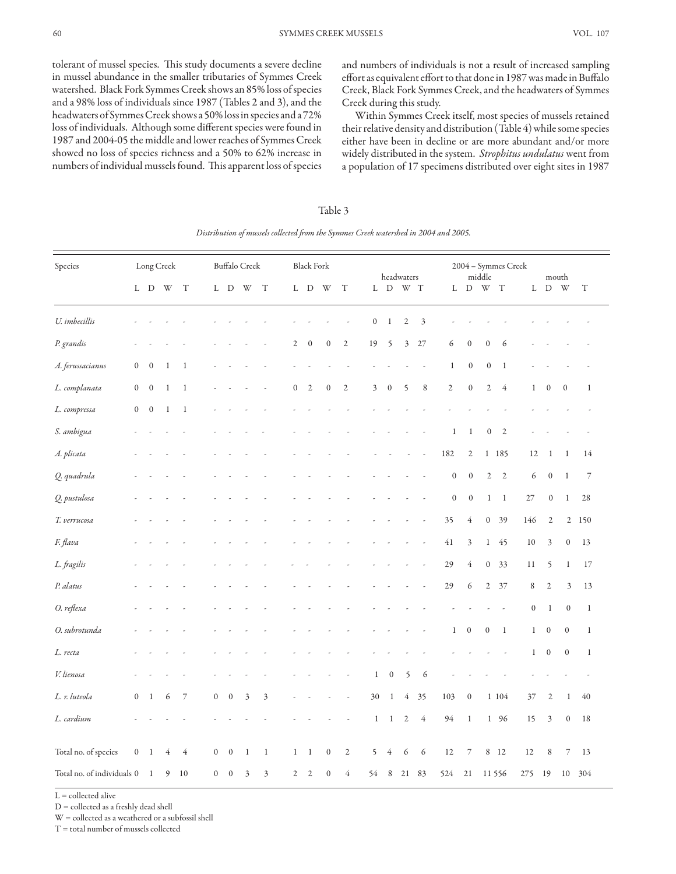tolerant of mussel species. This study documents a severe decline in mussel abundance in the smaller tributaries of Symmes Creek watershed. Black Fork Symmes Creek shows an 85% loss of species and a 98% loss of individuals since 1987 (Tables 2 and 3), and the headwaters of Symmes Creek shows a 50% loss in species and a 72% loss of individuals. Although some different species were found in 1987 and 2004-05 the middle and lower reaches of Symmes Creek showed no loss of species richness and a 50% to 62% increase in numbers of individual mussels found. This apparent loss of species and numbers of individuals is not a result of increased sampling effort as equivalent effort to that done in 1987 was made in Buffalo Creek, Black Fork Symmes Creek, and the headwaters of Symmes Creek during this study.

Within Symmes Creek itself, most species of mussels retained their relative density and distribution (Table 4) while some species either have been in decline or are more abundant and/or more widely distributed in the system. *Strophitus undulatus* went from a population of 17 specimens distributed over eight sites in 1987

| $\rm Species$              |                  | Long Creek       |                         |                           |  |                  | <b>Buffalo Creek</b> |                             |                             |                  | <b>Black Fork</b> |                  |  |                | headwaters       |                  |                | 2004 - Symmes Creek<br>$\operatorname{middle}$ |                  |                          |                  |                          | mouth            |                  |                  |                  |
|----------------------------|------------------|------------------|-------------------------|---------------------------|--|------------------|----------------------|-----------------------------|-----------------------------|------------------|-------------------|------------------|--|----------------|------------------|------------------|----------------|------------------------------------------------|------------------|--------------------------|------------------|--------------------------|------------------|------------------|------------------|------------------|
|                            |                  |                  | ${\rm L}$ $\;$ D $\;$ W | $\ensuremath{\mathrm{T}}$ |  |                  | L D                  | W                           | $\ensuremath{\mathrm{T}}$   |                  | ${\bf L}$ $\;$ D  | W                |  | $\mathbf T$    |                  | L D              | W T            |                                                | L                | $\,$ D                   | W                | T                        |                  | ${\bf L}$ $\;$ D | W                | $\mathbf T$      |
| U. imbecillis              |                  |                  |                         |                           |  |                  |                      |                             |                             |                  |                   |                  |  |                | $\boldsymbol{0}$ | $\mathbf{1}$     | $\mathbf{2}$   | $\mathfrak{Z}$                                 |                  |                          |                  |                          |                  |                  |                  |                  |
| P. grandis                 |                  |                  |                         |                           |  |                  |                      |                             |                             | $\mathfrak{2}$   | $\boldsymbol{0}$  | $\boldsymbol{0}$ |  | $\overline{2}$ | 19               | 5                | $\mathfrak{Z}$ | 27                                             | 6                | $\boldsymbol{0}$         | $\boldsymbol{0}$ | 6                        |                  |                  |                  |                  |
| A. ferussacianus           | $\mathbf{0}$     | $\mathbf{0}$     | 1                       | 1                         |  |                  |                      |                             |                             |                  |                   |                  |  |                |                  |                  |                |                                                | $\mathbf{1}$     | $\boldsymbol{0}$         | $\boldsymbol{0}$ | $\mathbf{1}$             |                  |                  |                  |                  |
| L. complanata              | $\overline{0}$   | $\boldsymbol{0}$ | 1                       | 1                         |  |                  |                      |                             |                             | $\boldsymbol{0}$ | $\overline{2}$    | $\boldsymbol{0}$ |  | $\mathfrak{2}$ | $\mathfrak{Z}$   | $\,0\,$          | 5              | $\,8\,$                                        | $\mathbf{2}$     | $\boldsymbol{0}$         | $\sqrt{2}$       | $\overline{4}$           | $\mathbf{1}$     | $\boldsymbol{0}$ | $\boldsymbol{0}$ | $\mathbf{1}$     |
| L. compressa               | $\boldsymbol{0}$ | $\boldsymbol{0}$ | $\mathbf{1}$            | $\mathbf{1}$              |  |                  |                      |                             |                             |                  |                   |                  |  |                |                  |                  |                |                                                |                  |                          |                  |                          |                  |                  |                  |                  |
| S. ambigua                 |                  |                  |                         |                           |  |                  |                      |                             |                             |                  |                   |                  |  |                |                  |                  |                |                                                | $\mathbf{1}$     | 1                        | $\boldsymbol{0}$ | $\sqrt{2}$               |                  |                  |                  |                  |
| A. plicata                 |                  |                  |                         |                           |  |                  |                      |                             |                             |                  |                   |                  |  |                |                  |                  |                |                                                | 182              | $\sqrt{2}$               |                  | 1 185                    | 12               | $\mathbf{1}$     | 1                | 14               |
| Q. quadrula                |                  |                  |                         |                           |  |                  |                      |                             |                             |                  |                   |                  |  |                |                  |                  |                |                                                | $\boldsymbol{0}$ | $\boldsymbol{0}$         | $\mathbf{2}$     | $\mathfrak{2}$           | 6                | $\boldsymbol{0}$ | $\mathbf{1}$     | $\boldsymbol{7}$ |
| Q. pustulosa               |                  |                  |                         |                           |  |                  |                      |                             |                             |                  |                   |                  |  |                |                  |                  |                |                                                | $\boldsymbol{0}$ | $\boldsymbol{0}$         | $\mathbf{1}$     | $\mathbf{1}$             | 27               | $\boldsymbol{0}$ | $\mathbf{1}$     | 28               |
| T. verrucosa               |                  |                  |                         |                           |  |                  |                      |                             |                             |                  |                   |                  |  |                |                  |                  |                |                                                | 35               | $\overline{4}$           | $\boldsymbol{0}$ | 39                       | 146              | $\sqrt{2}$       | $\mathbf{2}$     | 150              |
| F. flava                   |                  |                  |                         |                           |  |                  |                      |                             |                             |                  |                   |                  |  |                |                  |                  |                |                                                | 41               | $\mathfrak{Z}$           |                  | 145                      | 10               | $\mathfrak{Z}$   | $\boldsymbol{0}$ | 13               |
| L. fragilis                |                  |                  |                         |                           |  |                  |                      |                             |                             |                  |                   |                  |  |                |                  |                  |                |                                                | 29               | $\overline{4}$           |                  | 0, 33                    | 11               | 5                | $\,1$            | 17               |
| P. alatus                  |                  |                  |                         |                           |  |                  |                      |                             |                             |                  |                   |                  |  |                |                  |                  |                |                                                | 29               | $\epsilon$               |                  | 2 37                     | 8                | $\sqrt{2}$       | 3                | 13               |
| O. reflexa                 |                  |                  |                         |                           |  |                  |                      |                             |                             |                  |                   |                  |  |                |                  |                  |                |                                                |                  |                          |                  | $\overline{\phantom{a}}$ | $\boldsymbol{0}$ | $\mathbf{1}$     | $\boldsymbol{0}$ | $\mathbf{1}$     |
| O. subrotunda              |                  |                  |                         |                           |  |                  |                      |                             |                             |                  |                   |                  |  |                |                  |                  |                |                                                | $\mathbf{1}$     | $\boldsymbol{0}$         | $\boldsymbol{0}$ | $\mathbf{1}$             | $\mathbf{1}$     | $\boldsymbol{0}$ | $\mathbf{0}$     | $\mathbf{1}$     |
| L. recta                   |                  |                  |                         |                           |  |                  |                      |                             |                             |                  |                   |                  |  |                |                  |                  |                |                                                |                  |                          |                  | $\overline{\phantom{a}}$ | $\mathbf{1}$     | $\boldsymbol{0}$ | $\boldsymbol{0}$ | $\mathbf{1}$     |
| V. lienosa                 |                  |                  |                         |                           |  |                  |                      |                             |                             |                  |                   |                  |  |                | $\mathbf{1}$     | $\boldsymbol{0}$ | 5              | 6                                              |                  |                          |                  |                          |                  |                  |                  |                  |
| L. r. luteola              | $\overline{0}$   | $\mathbf{1}$     | 6                       | $\boldsymbol{7}$          |  | $\boldsymbol{0}$ | $\mathbf{0}$         | 3                           | $\mathfrak{Z}$              |                  |                   |                  |  |                | 30               | $\mathbf{1}$     | $\overline{4}$ | 35                                             | 103              | $\boldsymbol{0}$         |                  | 1 104                    | 37               | $\sqrt{2}$       | $\mathbf{1}$     | 40               |
| L. cardium                 |                  |                  |                         |                           |  |                  |                      |                             |                             |                  |                   |                  |  |                | $\,1$            | $\mathbf{1}$     | $\mathfrak 2$  | $\overline{4}$                                 | 94               | $\,1$                    |                  | 1 96                     | 15               | $\mathfrak{Z}$   | $\boldsymbol{0}$ | 18               |
| Total no. of species       | $0\quad \, 1$    |                  | $\overline{4}$          | 4                         |  | $\mathbf{0}$     | $\mathbf{0}$         | 1                           | $\mathbf{1}$                | $\mathbf{1}$     | $\mathbf{1}$      | $\boldsymbol{0}$ |  | $\mathfrak{2}$ | 5                | 4                | 6              | 6                                              | 12               | $\overline{\phantom{a}}$ |                  | 8 12                     | 12               | 8                | $\overline{7}$   | 13               |
| Total no. of individuals 0 |                  | $\overline{1}$   | 9                       | 10                        |  | $\boldsymbol{0}$ | $\boldsymbol{0}$     | $\ensuremath{\mathfrak{Z}}$ | $\ensuremath{\mathfrak{Z}}$ | $\mathbf{2}$     | $\sqrt{2}$        | $\boldsymbol{0}$ |  | $\overline{4}$ | 54               | $\,$ 8 $\,$      | 21             | 83                                             | 524              | $21\,$                   |                  | 11 556                   | $275\,$          | 19               | 10               | 304              |

Table 3 Distribution of mussels collected from the Symmes Creek watershed in 2004 and 2005.

 $L =$  collected alive

D = collected as a freshly dead shell

W = collected as a weathered or a subfossil shell

T = total number of mussels collected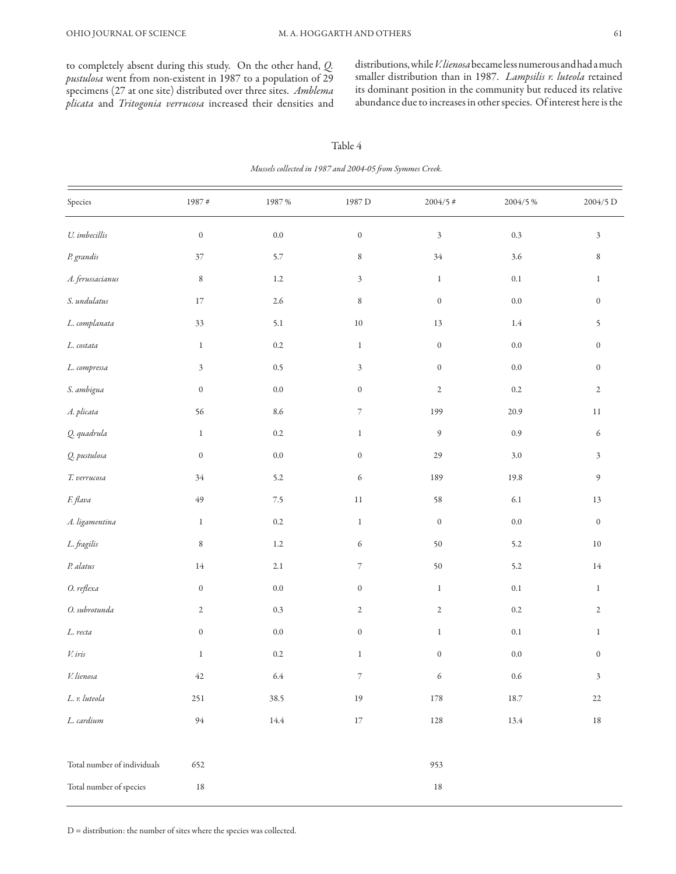to completely absent during this study. On the other hand, *Q. pustulosa* went from non-existent in 1987 to a population of 29 specimens (27 at one site) distributed over three sites. *Amblema plicata* and *Tritogonia verrucosa* increased their densities and

distributions, while *V. lienosa* became less numerous and had a much smaller distribution than in 1987. *Lampsilis r. luteola* retained its dominant position in the community but reduced its relative abundance due to increases in other species. Of interest here is the

| Species                     | $1987$ $\#$                 | 1987 %  | $1987\,\mathrm{D}$          | $2004/5$ #       | $2004/5~\%$ | $2004/5$ D       |
|-----------------------------|-----------------------------|---------|-----------------------------|------------------|-------------|------------------|
| $U.$ imbecillis             | $\boldsymbol{0}$            | $0.0\,$ | $\boldsymbol{0}$            | $\sqrt{3}$       | 0.3         | $\mathfrak{Z}$   |
| P. grandis                  | $37\,$                      | 5.7     | $\,$ 8 $\,$                 | $34\,$           | 3.6         | $\,8\,$          |
| A. ferussacianus            | $\,$ 8 $\,$                 | $1.2\,$ | $\mathfrak{Z}$              | $\,1$            | $0.1\,$     | $\mathbf{1}$     |
| S. undulatus                | $17\,$                      | 2.6     | $\,$ 8 $\,$                 | $\boldsymbol{0}$ | $0.0\,$     | $\boldsymbol{0}$ |
| L. complanata               | 33                          | $5.1\,$ | $10\,$                      | 13               | $1.4\,$     | 5                |
| L. costata                  | $\mathbf{1}$                | $0.2\,$ | $\,1\,$                     | $\boldsymbol{0}$ | $0.0\,$     | $\boldsymbol{0}$ |
| L. compressa                | $\ensuremath{\mathfrak{Z}}$ | 0.5     | $\ensuremath{\mathfrak{Z}}$ | $\boldsymbol{0}$ | $0.0\,$     | $\boldsymbol{0}$ |
| S. ambigua                  | $\boldsymbol{0}$            | $0.0\,$ | $\boldsymbol{0}$            | $\overline{c}$   | $0.2\,$     | $\sqrt{2}$       |
| A. plicata                  | 56                          | 8.6     | $\boldsymbol{7}$            | 199              | 20.9        | $11\,$           |
| Q. quadrula                 | $\mathbf{1}$                | $0.2\,$ | $\mathbf{1}$                | $\boldsymbol{9}$ | $0.9\,$     | $\epsilon$       |
| Q. pustulosa                | $\boldsymbol{0}$            | $0.0\,$ | $\boldsymbol{0}$            | 29               | 3.0         | $\mathfrak{Z}$   |
| T. verrucosa                | $34\,$                      | 5.2     | $\epsilon$                  | 189              | 19.8        | $\mathfrak g$    |
| F. flava                    | $49\,$                      | $7.5\,$ | $11\,$                      | 58               | 6.1         | $13\,$           |
| A. ligamentina              | $\mathbf{1}$                | $0.2\,$ | $\,1\,$                     | $\boldsymbol{0}$ | $0.0\,$     | $\boldsymbol{0}$ |
| L. fragilis                 | $\,$ 8 $\,$                 | $1.2\,$ | $\epsilon$                  | $50\,$           | $5.2\,$     | $10\,$           |
| P. alatus                   | $14\,$                      | $2.1\,$ | $\boldsymbol{7}$            | $50\,$           | 5.2         | $14\,$           |
| O. reflexa                  | $\boldsymbol{0}$            | $0.0\,$ | $\boldsymbol{0}$            | $\,1$            | $0.1\,$     | $\mathbf{1}$     |
| O. subrotunda               | $\sqrt{2}$                  | 0.3     | $\mathbf{2}$                | $\overline{c}$   | $0.2\,$     | $\sqrt{2}$       |
| L. recta                    | $\boldsymbol{0}$            | $0.0\,$ | $\boldsymbol{0}$            | $\mathbf{1}$     | $0.1\,$     | $\mathbf{1}$     |
| $V_\cdot$ iris              | $\mathbf{1}$                | $0.2\,$ | $\mathbf{1}$                | $\boldsymbol{0}$ | $0.0\,$     | $\boldsymbol{0}$ |
| V. lienosa                  | $42\,$                      | 6.4     | $\overline{\phantom{a}}$    | 6                | $0.6\,$     | $\mathfrak{Z}$   |
| L. r. luteola               | $251\,$                     | 38.5    | 19                          | 178              | 18.7        | 22               |
| L. cardium                  | $94\,$                      | 14.4    | $17\,$                      | $128\,$          | 13.4        | $18\,$           |
|                             |                             |         |                             |                  |             |                  |
| Total number of individuals | 652                         |         |                             | 953              |             |                  |
| Total number of species     | $18\,$                      |         |                             | $18\,$           |             |                  |

Table 4 *Mussels collected in 1987 and 2004-05 from Symmes Creek.* 

D = distribution: the number of sites where the species was collected.